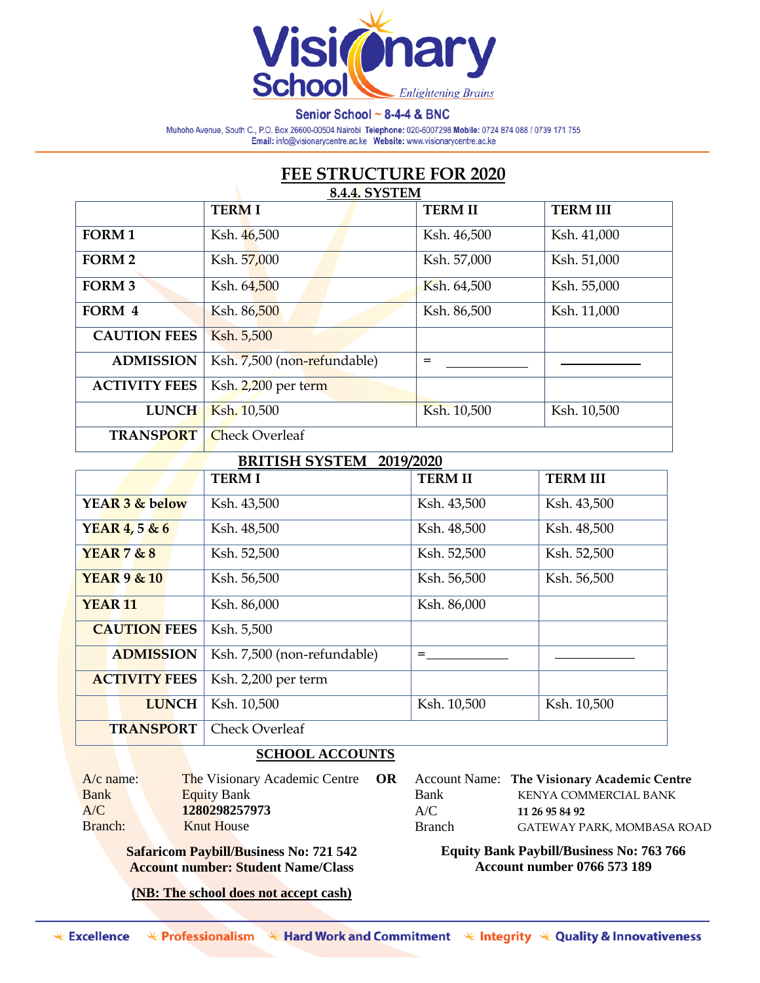

Senior School ~ 8-4-4 & BNC

Muhoho Avenue, South C., P.O. Box 26600-00504 Nairobi Telephone: 020-6007298 Mobile: 0724 874 088 / 0739 171 755 Email: info@visionarycentre.ac.ke Website: www.visionarycentre.ac.ke

## **FEE STRUCTURE FOR 2020 8.4.4. SYSTEM**

| V                    |                             |                |                 |  |
|----------------------|-----------------------------|----------------|-----------------|--|
|                      | <b>TERMI</b>                | <b>TERM II</b> | <b>TERM III</b> |  |
| <b>FORM1</b>         | Ksh. 46,500                 | Ksh. 46,500    | Ksh. 41,000     |  |
| <b>FORM 2</b>        | Ksh. 57,000                 | Ksh. 57,000    | Ksh. 51,000     |  |
| <b>FORM 3</b>        | Ksh. 64,500                 | Ksh. 64,500    | Ksh. 55,000     |  |
| FORM 4               | Ksh. 86,500                 | Ksh. 86,500    | Ksh. 11,000     |  |
| <b>CAUTION FEES</b>  | Ksh. 5,500                  |                |                 |  |
| <b>ADMISSION</b>     | Ksh. 7,500 (non-refundable) | $=$            |                 |  |
| <b>ACTIVITY FEES</b> | Ksh. 2,200 per term         |                |                 |  |
| <b>LUNCH</b>         | Ksh. 10,500                 | Ksh. 10,500    | Ksh. 10,500     |  |
| <b>TRANSPORT</b>     | <b>Check Overleaf</b>       |                |                 |  |

## **BRITISH SYSTEM 2019/2020**

| DIMITION DTOTER 2017/2020 |                             |                |                 |  |
|---------------------------|-----------------------------|----------------|-----------------|--|
|                           | <b>TERMI</b>                | <b>TERM II</b> | <b>TERM III</b> |  |
| YEAR 3 & below            | Ksh. 43,500                 | Ksh. 43,500    | Ksh. 43,500     |  |
| YEAR 4, 5 & 6             | Ksh. 48,500                 | Ksh. 48,500    | Ksh. 48,500     |  |
| YEAR $7 & 8$              | Ksh. 52,500                 | Ksh. 52,500    | Ksh. 52,500     |  |
| <b>YEAR 9 &amp; 10</b>    | Ksh. 56,500                 | Ksh. 56,500    | Ksh. 56,500     |  |
| <b>YEAR 11</b>            | Ksh. 86,000                 | Ksh. 86,000    |                 |  |
| <b>CAUTION FEES</b>       | Ksh. 5,500                  |                |                 |  |
| <b>ADMISSION</b>          | Ksh. 7,500 (non-refundable) |                |                 |  |
| <b>ACTIVITY FEES</b>      | Ksh. 2,200 per term         |                |                 |  |
| <b>LUNCH</b>              | Ksh. 10,500                 | Ksh. 10,500    | Ksh. 10,500     |  |
| <b>TRANSPORT</b>          | <b>Check Overleaf</b>       |                |                 |  |

## **SCHOOL ACCOUNTS**

| $A/c$ name: |  |
|-------------|--|
| <b>Bank</b> |  |
| A/C         |  |
| Branch:     |  |

The Visionary Academic Centre **OR Equity Bank** A/C **1280298257973** Knut House

**Safaricom Paybill/Business No: 721 542 Account number: Student Name/Class**

**(NB: The school does not accept cash)**

Account Name: **The Visionary Academic Centre** Bank KENYA COMMERCIAL BANK A/C **11 26 95 84 92** Branch GATEWAY PARK, MOMBASA ROAD

**Equity Bank Paybill/Business No: 763 766 Account number 0766 573 189**